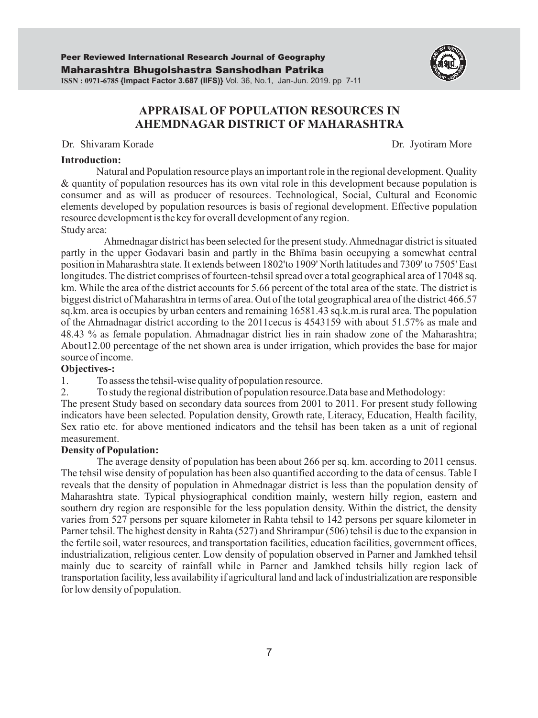

# Dr. Shivaram Korade Dr. Jyotiram More

#### **Introduction:**

Natural and Population resource plays an important role in the regional development. Quality & quantity of population resources has its own vital role in this development because population is consumer and as will as producer of resources. Technological, Social, Cultural and Economic elements developed by population resources is basis of regional development. Effective population resource development is the key for overall development of any region. Study area:

Ahmednagar district has been selected for the present study. Ahmednagar district is situated partly in the upper Godavari basin and partly in the Bhīma basin occupying a somewhat central position in Maharashtra state. It extends between 1802'to 1909' North latitudes and 7309' to 7505' East longitudes. The district comprises of fourteen-tehsil spread over a total geographical area of 17048 sq. km. While the area of the district accounts for 5.66 percent of the total area of the state. The district is biggest district of Maharashtra in terms of area. Out of the total geographical area of the district 466.57 sq.km. area is occupies by urban centers and remaining 16581.43 sq.k.m.is rural area. The population of the Ahmadnagar district according to the 2011cecus is 4543159 with about 51.57% as male and 48.43 % as female population. Ahmadnagar district lies in rain shadow zone of the Maharashtra; About12.00 percentage of the net shown area is under irrigation, which provides the base for major source of income.

# **Objectives-:**

1. To assess the tehsil-wise quality of population resource.

2. To study the regional distribution of population resource.Data base and Methodology:

The present Study based on secondary data sources from 2001 to 2011. For present study following indicators have been selected. Population density, Growth rate, Literacy, Education, Health facility, Sex ratio etc. for above mentioned indicators and the tehsil has been taken as a unit of regional measurement.

#### **Density of Population:**

The average density of population has been about 266 per sq. km. according to 2011 census. The tehsil wise density of population has been also quantified according to the data of census. Table I reveals that the density of population in Ahmednagar district is less than the population density of Maharashtra state. Typical physiographical condition mainly, western hilly region, eastern and southern dry region are responsible for the less population density. Within the district, the density varies from 527 persons per square kilometer in Rahta tehsil to 142 persons per square kilometer in Parner tehsil. The highest density in Rahta (527) and Shrirampur (506) tehsil is due to the expansion in the fertile soil, water resources, and transportation facilities, education facilities, government offices, industrialization, religious center. Low density of population observed in Parner and Jamkhed tehsil mainly due to scarcity of rainfall while in Parner and Jamkhed tehsils hilly region lack of transportation facility, less availability if agricultural land and lack of industrialization are responsible for low density of population.

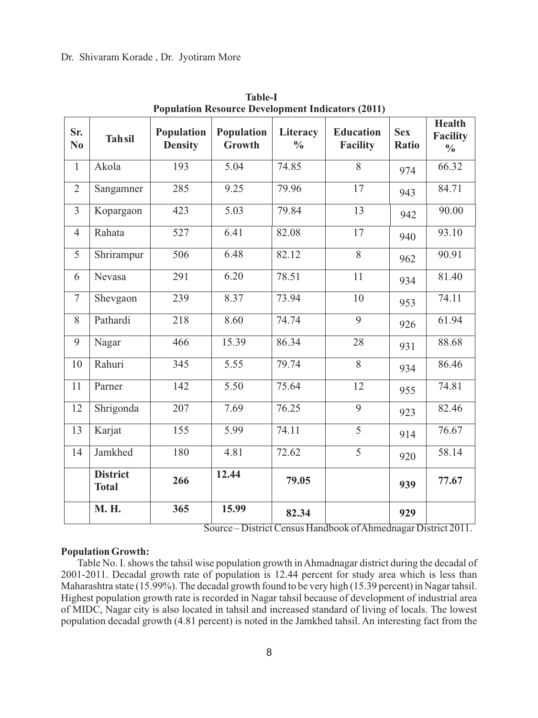#### Dr. Shivaram Korade , Dr. Jyotiram More

| Sr.<br>N <sub>0</sub> | <b>Tahsil</b>                   | Population<br><b>Density</b> | Population<br>Growth | Literacy<br>$\frac{0}{0}$ | <b>Education</b><br><b>Facility</b> | <b>Sex</b><br><b>Ratio</b> | <b>Health</b><br>Facility<br>$\frac{0}{0}$ |
|-----------------------|---------------------------------|------------------------------|----------------------|---------------------------|-------------------------------------|----------------------------|--------------------------------------------|
| $\mathbf{1}$          | Akola                           | 193                          | 5.04                 | 74.85                     | 8                                   | 974                        | 66.32                                      |
| $\overline{2}$        | Sangamner                       | 285                          | 9.25                 | 79.96                     | 17                                  | 943                        | 84.71                                      |
| $\overline{3}$        | Kopargaon                       | 423                          | 5.03                 | 79.84                     | 13                                  | 942                        | 90.00                                      |
| $\overline{4}$        | Rahata                          | 527                          | 6.41                 | 82.08                     | 17                                  | 940                        | 93.10                                      |
| 5                     | Shrirampur                      | 506                          | 6.48                 | 82.12                     | 8                                   | 962                        | 90.91                                      |
| 6                     | Nevasa                          | 291                          | 6.20                 | 78.51                     | 11                                  | 934                        | 81.40                                      |
| $\tau$                | Shevgaon                        | 239                          | 8.37                 | 73.94                     | $10\,$                              | 953                        | 74.11                                      |
| 8                     | Pathardi                        | 218                          | 8.60                 | 74.74                     | 9                                   | 926                        | 61.94                                      |
| 9                     | Nagar                           | 466                          | 15.39                | 86.34                     | 28                                  | 931                        | 88.68                                      |
| 10                    | Rahuri                          | 345                          | 5.55                 | 79.74                     | 8                                   | 934                        | 86.46                                      |
| 11                    | Parner                          | 142                          | $\overline{5.50}$    | 75.64                     | 12                                  | 955                        | 74.81                                      |
| 12                    | Shrigonda                       | 207                          | 7.69                 | 76.25                     | $\overline{9}$                      | 923                        | 82.46                                      |
| 13                    | Karjat                          | 155                          | 5.99                 | 74.11                     | 5                                   | 914                        | 76.67                                      |
| 14                    | Jamkhed                         | 180                          | 4.81                 | 72.62                     | $\overline{5}$                      | 920                        | 58.14                                      |
|                       | <b>District</b><br><b>Total</b> | 266                          | 12.44                | 79.05                     |                                     | 939                        | 77.67                                      |
|                       | <b>M. H.</b>                    | 365                          | 15.99                | 82.34                     |                                     | 929                        |                                            |

**Table-I Population Resource Development Indicators (2011)**

Source – District Census Handbook of Ahmednagar District 2011.

#### **Population Growth:**

Table No. I. shows the tahsil wise population growth in Ahmadnagar district during the decadal of 2001-2011. Decadal growth rate of population is 12.44 percent for study area which is less than Maharashtra state (15.99%). The decadal growth found to be very high (15.39 percent) in Nagar tahsil. Highest population growth rate is recorded in Nagar tahsil because of development of industrial area of MIDC, Nagar city is also located in tahsil and increased standard of living of locals. The lowest population decadal growth (4.81 percent) is noted in the Jamkhed tahsil. An interesting fact from the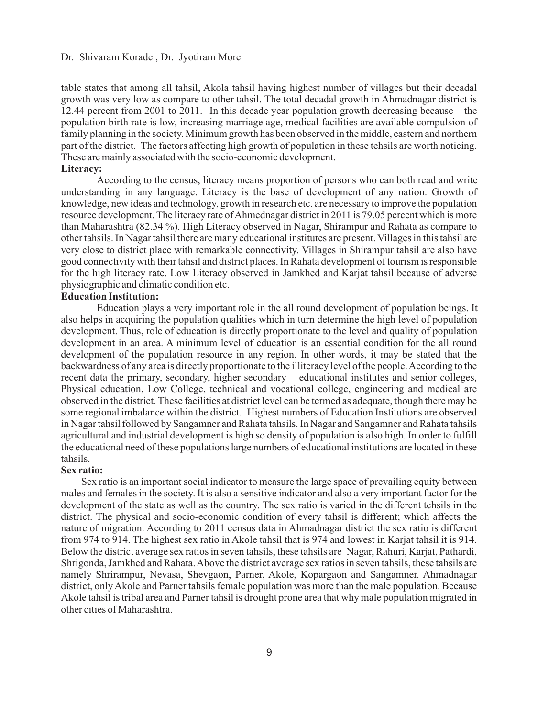#### Dr. Shivaram Korade , Dr. Jyotiram More

table states that among all tahsil, Akola tahsil having highest number of villages but their decadal growth was very low as compare to other tahsil. The total decadal growth in Ahmadnagar district is 12.44 percent from 2001 to 2011. In this decade year population growth decreasing because the population birth rate is low, increasing marriage age, medical facilities are available compulsion of family planning in the society. Minimum growth has been observed in the middle, eastern and northern part of the district. The factors affecting high growth of population in these tehsils are worth noticing. These are mainly associated with the socio-economic development.

#### **Literacy:**

According to the census, literacy means proportion of persons who can both read and write understanding in any language. Literacy is the base of development of any nation. Growth of knowledge, new ideas and technology, growth in research etc. are necessary to improve the population resource development. The literacy rate of Ahmednagar district in 2011 is 79.05 percent which is more than Maharashtra (82.34 %). High Literacy observed in Nagar, Shirampur and Rahata as compare to other tahsils. In Nagar tahsil there are many educational institutes are present. Villages in this tahsil are very close to district place with remarkable connectivity. Villages in Shirampur tahsil are also have good connectivity with their tahsil and district places. In Rahata development of tourism is responsible for the high literacy rate. Low Literacy observed in Jamkhed and Karjat tahsil because of adverse physiographic and climatic condition etc.

# **Education Institution:**

Education plays a very important role in the all round development of population beings. It also helps in acquiring the population qualities which in turn determine the high level of population development. Thus, role of education is directly proportionate to the level and quality of population development in an area. A minimum level of education is an essential condition for the all round development of the population resource in any region. In other words, it may be stated that the backwardness of any area is directly proportionate to the illiteracy level of the people. According to the recent data the primary, secondary, higher secondary educational institutes and senior colleges, recent data the primary, secondary, higher secondary Physical education, Low College, technical and vocational college, engineering and medical are observed in the district. These facilities at district level can be termed as adequate, though there may be some regional imbalance within the district. Highest numbers of Education Institutions are observed in Nagar tahsil followed by Sangamner and Rahata tahsils. In Nagar and Sangamner and Rahata tahsils agricultural and industrial development is high so density of population is also high. In order to fulfill the educational need of these populations large numbers of educational institutions are located in these tahsils.

#### **Sex ratio:**

Sex ratio is an important social indicator to measure the large space of prevailing equity between males and females in the society. It is also a sensitive indicator and also a very important factor for the development of the state as well as the country. The sex ratio is varied in the different tehsils in the district. The physical and socio-economic condition of every tahsil is different; which affects the nature of migration. According to 2011 census data in Ahmadnagar district the sex ratio is different from 974 to 914. The highest sex ratio in Akole tahsil that is 974 and lowest in Karjat tahsil it is 914. Below the district average sex ratios in seven tahsils, these tahsils are Nagar, Rahuri, Karjat, Pathardi, Shrigonda, Jamkhed and Rahata. Above the district average sex ratios in seven tahsils, these tahsils are namely Shrirampur, Nevasa, Shevgaon, Parner, Akole, Kopargaon and Sangamner. Ahmadnagar district, only Akole and Parner tahsils female population was more than the male population. Because Akole tahsil is tribal area and Parner tahsil is drought prone area that why male population migrated in other cities of Maharashtra.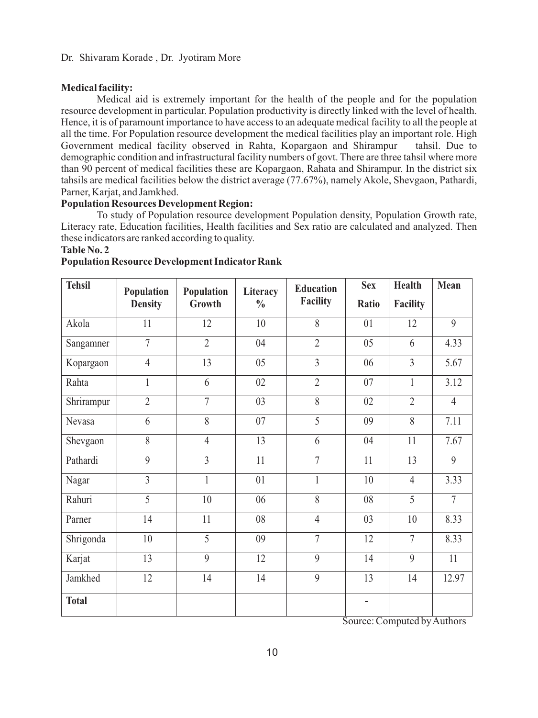#### **Medical facility:**

Medical aid is extremely important for the health of the people and for the population resource development in particular. Population productivity is directly linked with the level of health. Hence, it is of paramount importance to have access to an adequate medical facility to all the people at all the time. For Population resource development the medical facilities play an important role. High Government medical facility observed in Rahta, Kopargaon and Shirampur tahsil. Due to demographic condition and infrastructural facility numbers of govt. There are three tahsil where more than 90 percent of medical facilities these are Kopargaon, Rahata and Shirampur. In the district six tahsils are medical facilities below the district average (77.67%), namely Akole, Shevgaon, Pathardi, Parner, Karjat, and Jamkhed.

# **Population Resources Development Region:**

To study of Population resource development Population density, Population Growth rate, Literacy rate, Education facilities, Health facilities and Sex ratio are calculated and analyzed. Then these indicators are ranked according to quality.

#### **Table No. 2**

| <b>Tehsil</b> | Population     | Population     | Literacy      | <b>Education</b> | <b>Sex</b>     | <b>Health</b>  | Mean           |
|---------------|----------------|----------------|---------------|------------------|----------------|----------------|----------------|
|               | <b>Density</b> | Growth         | $\frac{0}{0}$ | Facility         | Ratio          | Facility       |                |
| Akola         | 11             | 12             | 10            | 8                | 01             | 12             | $\mathbf{Q}$   |
| Sangamner     | $\overline{7}$ | $\overline{2}$ | 04            | $\overline{2}$   | 05             | 6              | 4.33           |
| Kopargaon     | $\overline{4}$ | 13             | 05            | $\overline{3}$   | 06             | $\overline{3}$ | 5.67           |
| Rahta         | $\mathbf{1}$   | 6              | 02            | $\overline{2}$   | 07             | $\mathbf{1}$   | 3.12           |
| Shrirampur    | $\overline{2}$ | $\overline{7}$ | 03            | $\overline{8}$   | 02             | $\overline{2}$ | $\overline{4}$ |
| Nevasa        | 6              | 8              | 07            | 5                | 09             | 8              | 7.11           |
| Shevgaon      | 8              | $\overline{4}$ | 13            | 6                | 04             | 11             | 7.67           |
| Pathardi      | 9              | $\overline{3}$ | 11            | $\overline{7}$   | 11             | 13             | $\overline{9}$ |
| Nagar         | $\overline{3}$ | $\mathbf{1}$   | 01            | $\mathbf{1}$     | 10             | $\overline{4}$ | 3.33           |
| Rahuri        | $\overline{5}$ | 10             | 06            | 8                | 08             | 5              | $\overline{7}$ |
| Parner        | 14             | 11             | 08            | $\overline{4}$   | 03             | 10             | 8.33           |
| Shrigonda     | 10             | $\overline{5}$ | 09            | $\overline{7}$   | 12             | $\overline{7}$ | 8.33           |
| Karjat        | 13             | 9              | 12            | 9                | 14             | $\mathbf{Q}$   | 11             |
| Jamkhed       | 12             | 14             | 14            | 9                | 13             | 14             | 12.97          |
| <b>Total</b>  |                |                |               |                  | $\overline{a}$ |                |                |

Source: Computed by Authors